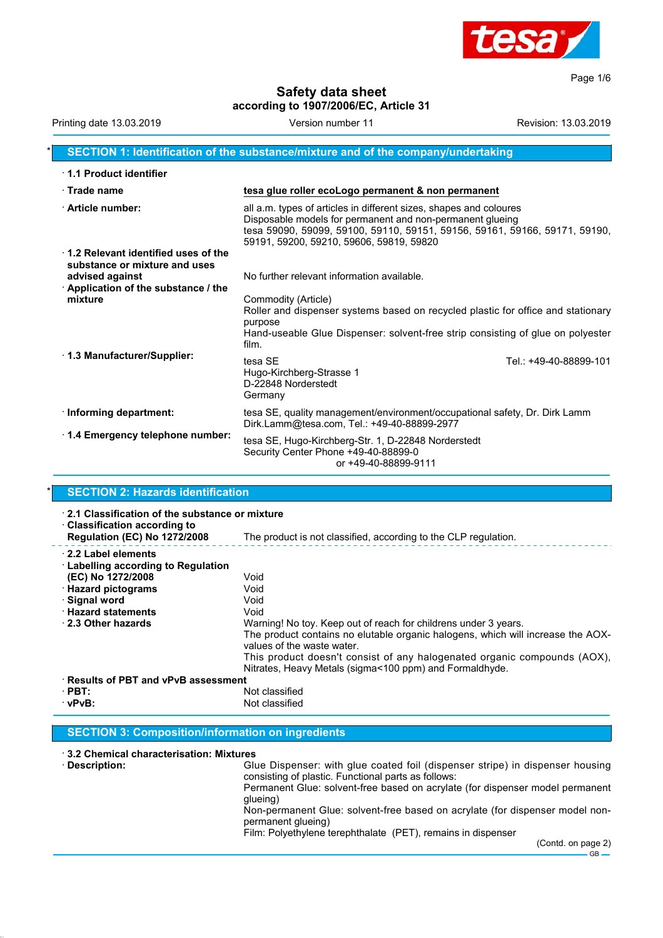

Page 1/6

#### **Safety data sheet according to 1907/2006/EC, Article 31**

| Printing date 13.03.2019                                             | Version number 11                                                                                                                                                                                                                                         | Revision: 13.03.2019   |
|----------------------------------------------------------------------|-----------------------------------------------------------------------------------------------------------------------------------------------------------------------------------------------------------------------------------------------------------|------------------------|
|                                                                      | SECTION 1: Identification of the substance/mixture and of the company/undertaking                                                                                                                                                                         |                        |
| 1.1 Product identifier                                               |                                                                                                                                                                                                                                                           |                        |
| $\cdot$ Trade name                                                   | tesa glue roller ecoLogo permanent & non permanent                                                                                                                                                                                                        |                        |
| Article number:                                                      | all a.m. types of articles in different sizes, shapes and coloures<br>Disposable models for permanent and non-permanent glueing<br>tesa 59090, 59099, 59100, 59110, 59151, 59156, 59161, 59166, 59171, 59190,<br>59191, 59200, 59210, 59606, 59819, 59820 |                        |
| 1.2 Relevant identified uses of the<br>substance or mixture and uses |                                                                                                                                                                                                                                                           |                        |
| advised against                                                      | No further relevant information available.                                                                                                                                                                                                                |                        |
| $\cdot$ Application of the substance / the<br>mixture                | Commodity (Article)<br>Roller and dispenser systems based on recycled plastic for office and stationary<br>purpose<br>Hand-useable Glue Dispenser: solvent-free strip consisting of glue on polyester<br>film.                                            |                        |
| 1.3 Manufacturer/Supplier:                                           | tesa SE<br>Hugo-Kirchberg-Strasse 1<br>D-22848 Norderstedt<br>Germany                                                                                                                                                                                     | Tel.: +49-40-88899-101 |
| · Informing department:                                              | tesa SE, quality management/environment/occupational safety, Dr. Dirk Lamm<br>Dirk.Lamm@tesa.com, Tel.: +49-40-88899-2977                                                                                                                                 |                        |
| 1.4 Emergency telephone number:                                      | tesa SE, Hugo-Kirchberg-Str. 1, D-22848 Norderstedt<br>Security Center Phone +49-40-88899-0<br>or +49-40-88899-9111                                                                                                                                       |                        |

### **SECTION 2: Hazards identification**

| 2.1 Classification of the substance or mixture<br><b>Classification according to</b><br><b>Regulation (EC) No 1272/2008</b>                                                       | The product is not classified, according to the CLP regulation.                                                                                                                                                                                                                                                                                         |
|-----------------------------------------------------------------------------------------------------------------------------------------------------------------------------------|---------------------------------------------------------------------------------------------------------------------------------------------------------------------------------------------------------------------------------------------------------------------------------------------------------------------------------------------------------|
| 2.2 Label elements<br><b>Labelling according to Regulation</b><br>(EC) No 1272/2008<br><b>Hazard pictograms</b><br>⋅ Signal word<br><b>Hazard statements</b><br>2.3 Other hazards | Void<br>Void<br>Void<br>Void<br>Warning! No toy. Keep out of reach for childrens under 3 years.<br>The product contains no elutable organic halogens, which will increase the AOX-<br>values of the waste water.<br>This product doesn't consist of any halogenated organic compounds (AOX),<br>Nitrates, Heavy Metals (sigma<100 ppm) and Formaldhyde. |
| <b>Results of PBT and vPvB assessment</b><br>$\cdot$ PBT:<br>$\cdot$ vPvB:                                                                                                        | Not classified<br>Not classified                                                                                                                                                                                                                                                                                                                        |

#### **SECTION 3: Composition/information on ingredients**

· **3.2 Chemical characterisation: Mixtures**

· **Description:** Glue Dispenser: with glue coated foil (dispenser stripe) in dispenser housing consisting of plastic. Functional parts as follows: Permanent Glue: solvent-free based on acrylate (for dispenser model permanent glueing) Non-permanent Glue: solvent-free based on acrylate (for dispenser model nonpermanent glueing)

Film: Polyethylene terephthalate (PET), remains in dispenser

(Contd. on page 2)  $-$  GB  $-$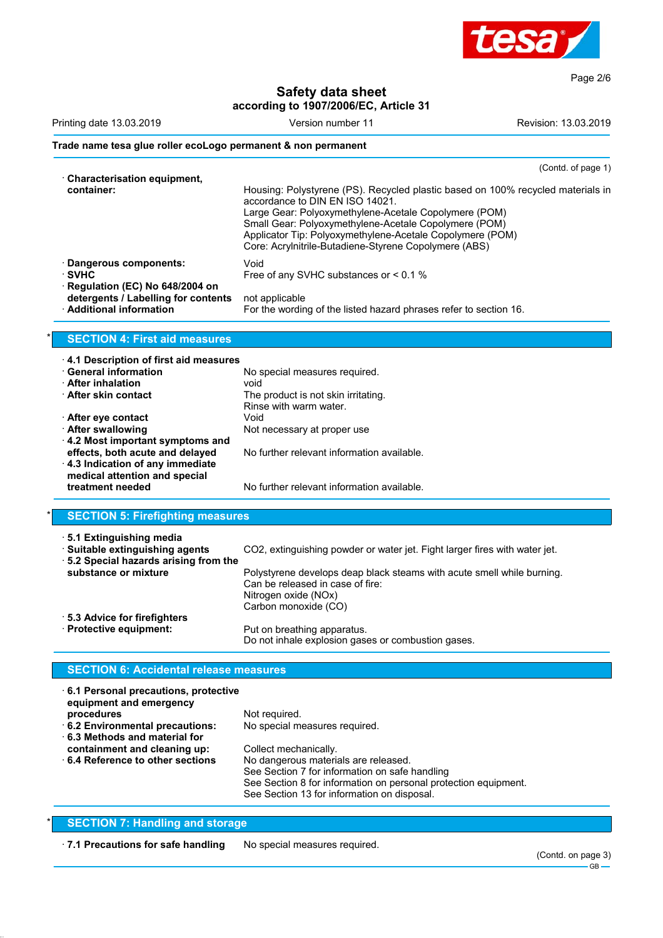

**Safety data sheet**

|                                                                                                        | according to 1907/2006/EC, Article 31                                                                                                                                                                                                                                                                                                                      |                      |
|--------------------------------------------------------------------------------------------------------|------------------------------------------------------------------------------------------------------------------------------------------------------------------------------------------------------------------------------------------------------------------------------------------------------------------------------------------------------------|----------------------|
| Printing date 13.03.2019                                                                               | Version number 11                                                                                                                                                                                                                                                                                                                                          | Revision: 13.03.2019 |
| Trade name tesa glue roller ecoLogo permanent & non permanent                                          |                                                                                                                                                                                                                                                                                                                                                            |                      |
| · Characterisation equipment,                                                                          |                                                                                                                                                                                                                                                                                                                                                            | (Contd. of page 1)   |
| container:                                                                                             | Housing: Polystyrene (PS). Recycled plastic based on 100% recycled materials in<br>accordance to DIN EN ISO 14021.<br>Large Gear: Polyoxymethylene-Acetale Copolymere (POM)<br>Small Gear: Polyoxymethylene-Acetale Copolymere (POM)<br>Applicator Tip: Polyoxymethylene-Acetale Copolymere (POM)<br>Core: Acrylnitrile-Butadiene-Styrene Copolymere (ABS) |                      |
| · Dangerous components:<br>∙ SVHC                                                                      | Void<br>Free of any SVHC substances or < 0.1 %                                                                                                                                                                                                                                                                                                             |                      |
| Regulation (EC) No 648/2004 on<br>detergents / Labelling for contents<br><b>Additional information</b> | not applicable<br>For the wording of the listed hazard phrases refer to section 16.                                                                                                                                                                                                                                                                        |                      |
| <b>SECTION 4: First aid measures</b>                                                                   |                                                                                                                                                                                                                                                                                                                                                            |                      |
| 4.1 Description of first aid measures                                                                  |                                                                                                                                                                                                                                                                                                                                                            |                      |
| <b>General information</b>                                                                             | No special measures required.                                                                                                                                                                                                                                                                                                                              |                      |
| <b>After inhalation</b>                                                                                | void                                                                                                                                                                                                                                                                                                                                                       |                      |
| <b>After skin contact</b>                                                                              | The product is not skin irritating.<br>Rinse with warm water.                                                                                                                                                                                                                                                                                              |                      |
| <b>∴After eye contact</b>                                                                              | Void                                                                                                                                                                                                                                                                                                                                                       |                      |
| · After swallowing                                                                                     | Not necessary at proper use                                                                                                                                                                                                                                                                                                                                |                      |
| 4.2 Most important symptoms and                                                                        |                                                                                                                                                                                                                                                                                                                                                            |                      |
| effects, both acute and delayed<br>4.3 Indication of any immediate<br>medical attention and special    | No further relevant information available.                                                                                                                                                                                                                                                                                                                 |                      |
| treatment needed                                                                                       | No further relevant information available.                                                                                                                                                                                                                                                                                                                 |                      |
| <b>SECTION 5: Firefighting measures</b>                                                                |                                                                                                                                                                                                                                                                                                                                                            |                      |
| 5.1 Extinguishing media                                                                                |                                                                                                                                                                                                                                                                                                                                                            |                      |
| · Suitable extinguishing agents                                                                        | CO2, extinguishing powder or water jet. Fight larger fires with water jet.                                                                                                                                                                                                                                                                                 |                      |
| 5.2 Special hazards arising from the                                                                   |                                                                                                                                                                                                                                                                                                                                                            |                      |
| substance or mixture                                                                                   | Polystyrene develops deap black steams with acute smell while burning.<br>Can be released in case of fire:<br>Nitrogen oxide (NOx)                                                                                                                                                                                                                         |                      |
| 5.3 Advice for firefighters                                                                            | Carbon monoxide (CO)                                                                                                                                                                                                                                                                                                                                       |                      |
| · Protective equipment:                                                                                | Put on breathing apparatus.<br>Do not inhale explosion gases or combustion gases.                                                                                                                                                                                                                                                                          |                      |
| <b>SECTION 6: Accidental release measures</b>                                                          |                                                                                                                                                                                                                                                                                                                                                            |                      |
| 6.1 Personal precautions, protective                                                                   |                                                                                                                                                                                                                                                                                                                                                            |                      |

| equipment and emergency<br>procedures<br>6.2 Environmental precautions:<br>6.3 Methods and material for | Not required.<br>No special measures required.                                                                                                                                                                                    |
|---------------------------------------------------------------------------------------------------------|-----------------------------------------------------------------------------------------------------------------------------------------------------------------------------------------------------------------------------------|
| containment and cleaning up:<br>⋅6.4 Reference to other sections                                        | Collect mechanically.<br>No dangerous materials are released.<br>See Section 7 for information on safe handling<br>See Section 8 for information on personal protection equipment.<br>See Section 13 for information on disposal. |

### **SECTION 7: Handling and storage**

· **7.1 Precautions for safe handling** No special measures required.

Page 2/6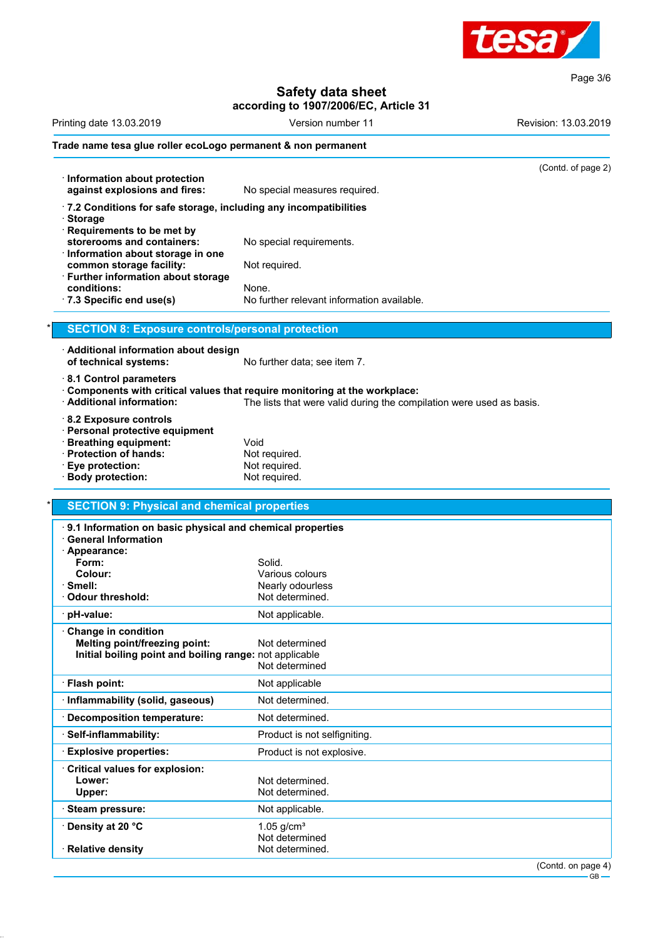

Page 3/6

## **Safety data sheet**

|                                                                                | Version number 11                                                         | Revision: 13.03.2019 |
|--------------------------------------------------------------------------------|---------------------------------------------------------------------------|----------------------|
| Trade name tesa glue roller ecoLogo permanent & non permanent                  |                                                                           |                      |
|                                                                                |                                                                           | (Contd. of page 2)   |
| · Information about protection                                                 |                                                                           |                      |
| against explosions and fires:                                                  | No special measures required.                                             |                      |
| .7.2 Conditions for safe storage, including any incompatibilities<br>· Storage |                                                                           |                      |
| Requirements to be met by                                                      |                                                                           |                      |
| storerooms and containers:                                                     | No special requirements.                                                  |                      |
| · Information about storage in one                                             |                                                                           |                      |
| common storage facility:<br><b>Further information about storage</b>           | Not required.                                                             |                      |
| conditions:                                                                    | None.                                                                     |                      |
| · 7.3 Specific end use(s)                                                      | No further relevant information available.                                |                      |
| <b>SECTION 8: Exposure controls/personal protection</b>                        |                                                                           |                      |
|                                                                                |                                                                           |                      |
| · Additional information about design                                          |                                                                           |                      |
| of technical systems:                                                          | No further data; see item 7.                                              |                      |
| 8.1 Control parameters                                                         |                                                                           |                      |
|                                                                                | Components with critical values that require monitoring at the workplace: |                      |
| · Additional information:                                                      | The lists that were valid during the compilation were used as basis.      |                      |
| 8.2 Exposure controls                                                          |                                                                           |                      |
| · Personal protective equipment                                                |                                                                           |                      |
| <b>Breathing equipment:</b>                                                    | Void                                                                      |                      |
| · Protection of hands:                                                         | Not required.                                                             |                      |
| Eye protection:                                                                | Not required.                                                             |                      |
| <b>Body protection:</b>                                                        | Not required.                                                             |                      |
|                                                                                |                                                                           |                      |
| <b>SECTION 9: Physical and chemical properties</b>                             |                                                                           |                      |
| 9.1 Information on basic physical and chemical properties                      |                                                                           |                      |

|  | J. I IIIIVIIIIAUVII VII DASIV |
|--|-------------------------------|
|  | <b>General Information</b>    |

| General Information                                                                                                    |                                  |
|------------------------------------------------------------------------------------------------------------------------|----------------------------------|
| Appearance:<br>Form:                                                                                                   | Solid.                           |
| Colour:                                                                                                                | Various colours                  |
| · Smell:                                                                                                               | Nearly odourless                 |
| Odour threshold:                                                                                                       | Not determined.                  |
| · pH-value:                                                                                                            | Not applicable.                  |
| Change in condition<br><b>Melting point/freezing point:</b><br>Initial boiling point and boiling range: not applicable | Not determined<br>Not determined |
| · Flash point:                                                                                                         | Not applicable                   |
| · Inflammability (solid, gaseous)                                                                                      | Not determined.                  |
| · Decomposition temperature:                                                                                           | Not determined.                  |
| Self-inflammability:                                                                                                   | Product is not selfigniting.     |
| <b>Explosive properties:</b>                                                                                           | Product is not explosive.        |
| Critical values for explosion:                                                                                         |                                  |
| Lower:                                                                                                                 | Not determined.                  |
| Upper:                                                                                                                 | Not determined.                  |
| · Steam pressure:                                                                                                      | Not applicable.                  |
| · Density at 20 °C                                                                                                     | $1.05$ g/cm <sup>3</sup>         |
|                                                                                                                        | Not determined                   |
| · Relative density                                                                                                     | Not determined.                  |
|                                                                                                                        | $\sim$ $\sim$                    |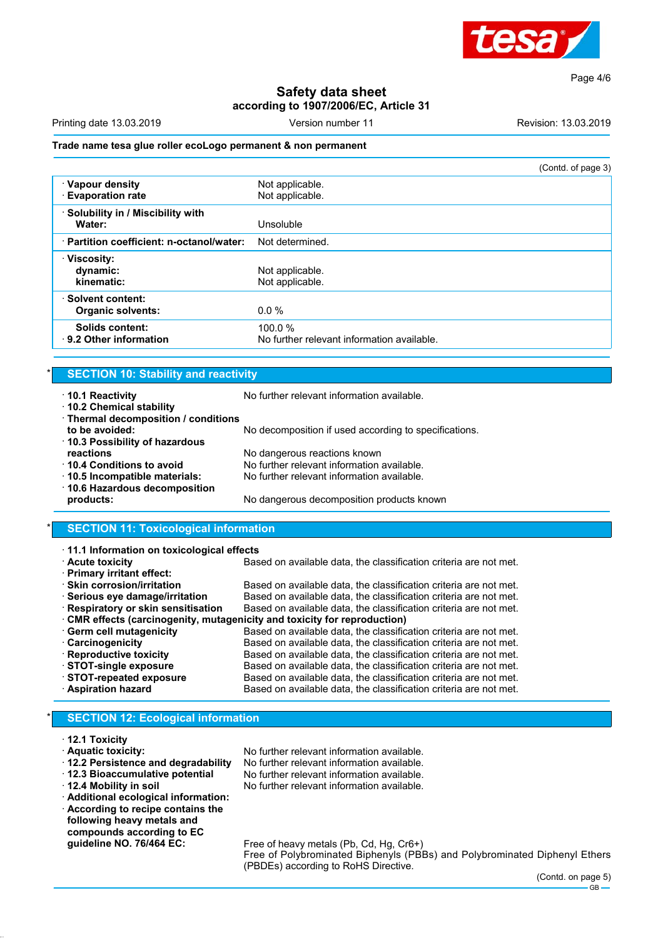

Page 4/6

#### **Safety data sheet according to 1907/2006/EC, Article 31**

| Printing date 13.03.2019 | , number 1 | `≏vision'<br>13.03.2019 |
|--------------------------|------------|-------------------------|
|                          |            |                         |

#### **Trade name tesa glue roller ecoLogo permanent & non permanent**

|                                             | (Contd. of page 3)                                   |
|---------------------------------------------|------------------------------------------------------|
| · Vapour density<br><b>Evaporation rate</b> | Not applicable.<br>Not applicable.                   |
|                                             |                                                      |
| Solubility in / Miscibility with            |                                                      |
| Water:                                      | Unsoluble                                            |
| · Partition coefficient: n-octanol/water:   | Not determined.                                      |
| $\cdot$ Viscosity:                          |                                                      |
| dynamic:                                    | Not applicable.                                      |
| kinematic:                                  | Not applicable.                                      |
| Solvent content:                            |                                                      |
| <b>Organic solvents:</b>                    | $0.0\%$                                              |
| Solids content:<br>9.2 Other information    | 100.0%<br>No further relevant information available. |

#### **SECTION 10: Stability and reactivity**

| 10.1 Reactivity<br>10.2 Chemical stability      | No further relevant information available.            |
|-------------------------------------------------|-------------------------------------------------------|
| · Thermal decomposition / conditions            |                                                       |
| to be avoided:<br>10.3 Possibility of hazardous | No decomposition if used according to specifications. |
| reactions                                       | No dangerous reactions known                          |
| 10.4 Conditions to avoid                        | No further relevant information available.            |
| 10.5 Incompatible materials:                    | No further relevant information available.            |
| 10.6 Hazardous decomposition                    |                                                       |
| products:                                       | No dangerous decomposition products known             |
|                                                 |                                                       |

#### **SECTION 11: Toxicological information**

| 11.1 Information on toxicological effects                               |                                                                   |  |  |
|-------------------------------------------------------------------------|-------------------------------------------------------------------|--|--|
| <b>Acute toxicity</b>                                                   | Based on available data, the classification criteria are not met. |  |  |
| · Primary irritant effect:                                              |                                                                   |  |  |
| · Skin corrosion/irritation                                             | Based on available data, the classification criteria are not met. |  |  |
| · Serious eye damage/irritation                                         | Based on available data, the classification criteria are not met. |  |  |
| · Respiratory or skin sensitisation                                     | Based on available data, the classification criteria are not met. |  |  |
| CMR effects (carcinogenity, mutagenicity and toxicity for reproduction) |                                                                   |  |  |
| Germ cell mutagenicity                                                  | Based on available data, the classification criteria are not met. |  |  |
| <b>Carcinogenicity</b>                                                  | Based on available data, the classification criteria are not met. |  |  |
| · Reproductive toxicity                                                 | Based on available data, the classification criteria are not met. |  |  |
| STOT-single exposure                                                    | Based on available data, the classification criteria are not met. |  |  |
| STOT-repeated exposure                                                  | Based on available data, the classification criteria are not met. |  |  |
| <b>Aspiration hazard</b>                                                | Based on available data, the classification criteria are not met. |  |  |

#### **SECTION 12: Ecological information**

# · **12.1 Toxicity**

- 
- 
- 
- · **Additional ecological information:** · **According to recipe contains the following heavy metals and compounds according to EC**

No further relevant information available. · **12.2 Persistence and degradability** No further relevant information available.

· **12.3 Bioaccumulative potential** No further relevant information available.

No further relevant information available.

**guideline NO. 76/464 EC:** Free of heavy metals (Pb, Cd, Hg, Cr6+) Free of Polybrominated Biphenyls (PBBs) and Polybrominated Diphenyl Ethers (PBDEs) according to RoHS Directive.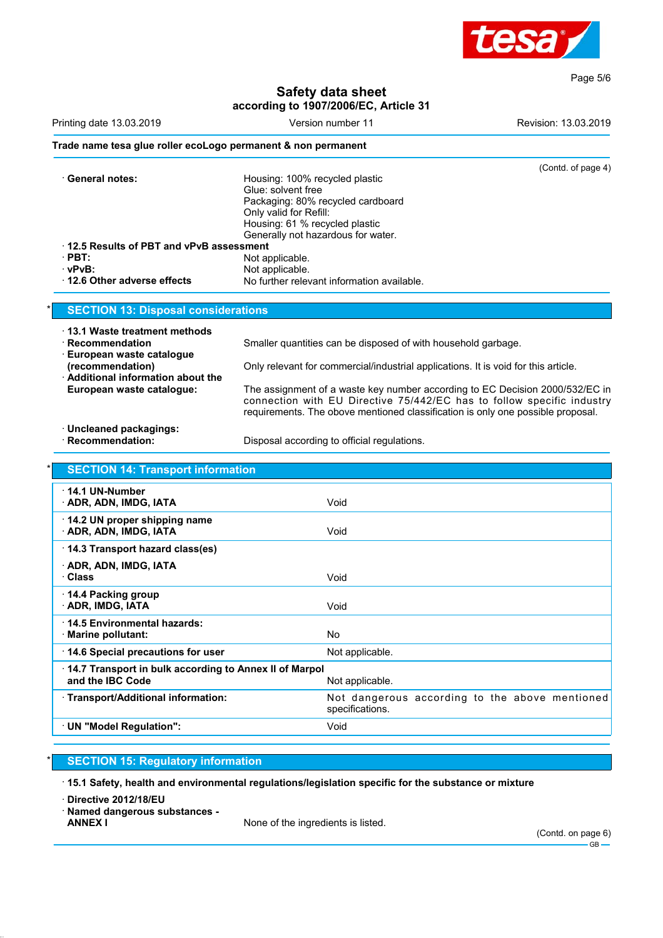

Page 5/6

#### **Safety data sheet according to 1907/2006/EC, Article 31**

|                                                                                         | according to 1907/2006/EC, Article 31                                                                                                                                                                                                     |                      |
|-----------------------------------------------------------------------------------------|-------------------------------------------------------------------------------------------------------------------------------------------------------------------------------------------------------------------------------------------|----------------------|
| Printing date 13.03.2019                                                                | Version number 11                                                                                                                                                                                                                         | Revision: 13.03.2019 |
| Trade name tesa glue roller ecoLogo permanent & non permanent                           |                                                                                                                                                                                                                                           |                      |
| · General notes:                                                                        | Housing: 100% recycled plastic<br>Glue: solvent free                                                                                                                                                                                      | (Contd. of page 4)   |
|                                                                                         | Packaging: 80% recycled cardboard<br>Only valid for Refill:<br>Housing: 61 % recycled plastic                                                                                                                                             |                      |
| 12.5 Results of PBT and vPvB assessment                                                 | Generally not hazardous for water.                                                                                                                                                                                                        |                      |
| $\cdot$ PBT:                                                                            | Not applicable.                                                                                                                                                                                                                           |                      |
| · vPvB:<br>12.6 Other adverse effects                                                   | Not applicable.<br>No further relevant information available.                                                                                                                                                                             |                      |
| <b>SECTION 13: Disposal considerations</b>                                              |                                                                                                                                                                                                                                           |                      |
| ⋅ 13.1 Waste treatment methods<br>· Recommendation                                      | Smaller quantities can be disposed of with household garbage.                                                                                                                                                                             |                      |
| <b>European waste catalogue</b><br>(recommendation)<br>Additional information about the | Only relevant for commercial/industrial applications. It is void for this article.                                                                                                                                                        |                      |
| European waste catalogue:                                                               | The assignment of a waste key number according to EC Decision 2000/532/EC in<br>connection with EU Directive 75/442/EC has to follow specific industry<br>requirements. The obove mentioned classification is only one possible proposal. |                      |
| · Uncleaned packagings:<br>· Recommendation:                                            | Disposal according to official regulations.                                                                                                                                                                                               |                      |
| <b>SECTION 14: Transport information</b>                                                |                                                                                                                                                                                                                                           |                      |
| 14.1 UN-Number<br>· ADR, ADN, IMDG, IATA                                                | Void                                                                                                                                                                                                                                      |                      |
| 14.2 UN proper shipping name<br>ADR, ADN, IMDG, IATA                                    | Void                                                                                                                                                                                                                                      |                      |
| 14.3 Transport hazard class(es)                                                         |                                                                                                                                                                                                                                           |                      |
| <b>ADR, ADN, IMDG, IATA</b><br>· Class                                                  | Void                                                                                                                                                                                                                                      |                      |
| 14.4 Packing group<br>ADR, IMDG, IATA                                                   | Void                                                                                                                                                                                                                                      |                      |
| · 14.5 Environmental hazards:<br><b>Marine pollutant:</b>                               | No                                                                                                                                                                                                                                        |                      |
| 14.6 Special precautions for user                                                       | Not applicable.                                                                                                                                                                                                                           |                      |
| 14.7 Transport in bulk according to Annex II of Marpol<br>and the IBC Code              | Not applicable.                                                                                                                                                                                                                           |                      |
| · Transport/Additional information:                                                     | Not dangerous according to the above mentioned<br>specifications.                                                                                                                                                                         |                      |
| · UN "Model Regulation":                                                                | Void                                                                                                                                                                                                                                      |                      |

#### **SECTION 15: Regulatory information**

· **15.1 Safety, health and environmental regulations/legislation specific for the substance or mixture**

· **Directive 2012/18/EU**

· **Named dangerous substances -**

None of the ingredients is listed.